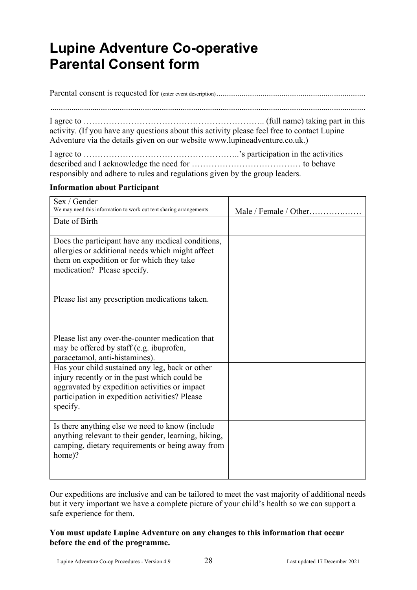# **Lupine Adventure Co-operative Parental Consent form**

Parental consent is requested for (enter event description) .......................................................................

......................................................................................................................................................

I agree to  $\dots \dots \dots \dots \dots \dots \dots \dots \dots \dots \dots \dots \dots \dots \dots \dots$  (full name) taking part in this activity. (If you have any questions about this activity please feel free to contact Lupine Adventure via the details given on our website www.lupineadventure.co.uk.)

I agree to ………………………………………………..'s participation in the activities described and I acknowledge the need for ………………………………… to behave responsibly and adhere to rules and regulations given by the group leaders.

## **Information about Participant**

| Sex / Gender<br>We may need this information to work out tent sharing arrangements<br>Date of Birth                                                                                                             | Male / Female / Other |
|-----------------------------------------------------------------------------------------------------------------------------------------------------------------------------------------------------------------|-----------------------|
| Does the participant have any medical conditions,<br>allergies or additional needs which might affect<br>them on expedition or for which they take<br>medication? Please specify.                               |                       |
| Please list any prescription medications taken.                                                                                                                                                                 |                       |
| Please list any over-the-counter medication that<br>may be offered by staff (e.g. ibuprofen,<br>paracetamol, anti-histamines).                                                                                  |                       |
| Has your child sustained any leg, back or other<br>injury recently or in the past which could be<br>aggravated by expedition activities or impact<br>participation in expedition activities? Please<br>specify. |                       |
| Is there anything else we need to know (include<br>anything relevant to their gender, learning, hiking,<br>camping, dietary requirements or being away from<br>home)?                                           |                       |

Our expeditions are inclusive and can be tailored to meet the vast majority of additional needs but it very important we have a complete picture of your child's health so we can support a safe experience for them.

## **You must update Lupine Adventure on any changes to this information that occur before the end of the programme.**